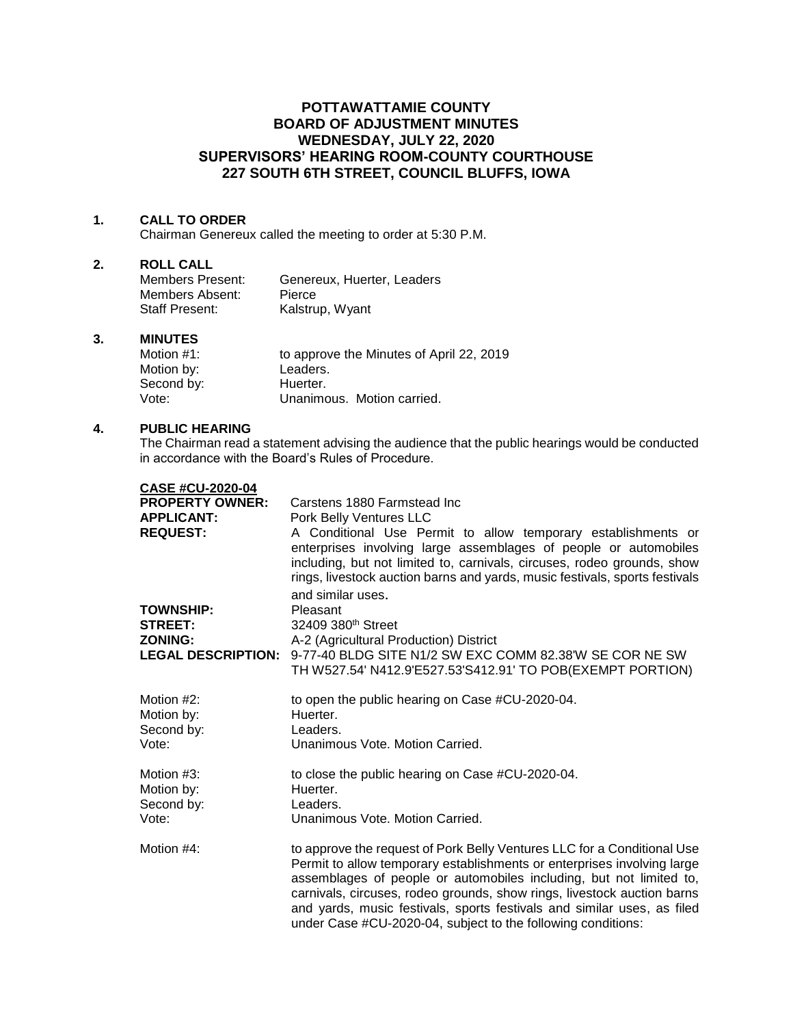## **POTTAWATTAMIE COUNTY BOARD OF ADJUSTMENT MINUTES WEDNESDAY, JULY 22, 2020 SUPERVISORS' HEARING ROOM-COUNTY COURTHOUSE 227 SOUTH 6TH STREET, COUNCIL BLUFFS, IOWA**

#### **1. CALL TO ORDER**

Chairman Genereux called the meeting to order at 5:30 P.M.

## **2. ROLL CALL**

| Members Present:      | Genereux, Huerter, Leaders |
|-----------------------|----------------------------|
| Members Absent:       | Pierce                     |
| <b>Staff Present:</b> | Kalstrup, Wyant            |

#### **3. MINUTES**

| Motion #1: | to approve the Minutes of April 22, 2019 |
|------------|------------------------------------------|
| Motion by: | Leaders.                                 |
| Second by: | Huerter.                                 |
| Vote:      | Unanimous. Motion carried.               |

## **4. PUBLIC HEARING**

The Chairman read a statement advising the audience that the public hearings would be conducted in accordance with the Board's Rules of Procedure.

| <b>CASE #CU-2020-04</b> |  |
|-------------------------|--|
|-------------------------|--|

| <b>PROPERTY OWNER:</b><br><b>APPLICANT:</b><br><b>REQUEST:</b> | Carstens 1880 Farmstead Inc<br>Pork Belly Ventures LLC                                                                                                                                                                                                                                                                                                                                                                                          |
|----------------------------------------------------------------|-------------------------------------------------------------------------------------------------------------------------------------------------------------------------------------------------------------------------------------------------------------------------------------------------------------------------------------------------------------------------------------------------------------------------------------------------|
|                                                                | A Conditional Use Permit to allow temporary establishments or<br>enterprises involving large assemblages of people or automobiles<br>including, but not limited to, carnivals, circuses, rodeo grounds, show<br>rings, livestock auction barns and yards, music festivals, sports festivals<br>and similar uses.                                                                                                                                |
| <b>TOWNSHIP:</b>                                               | Pleasant                                                                                                                                                                                                                                                                                                                                                                                                                                        |
| <b>STREET:</b>                                                 | 32409 380 <sup>th</sup> Street                                                                                                                                                                                                                                                                                                                                                                                                                  |
| <b>ZONING:</b>                                                 | A-2 (Agricultural Production) District<br>9-77-40 BLDG SITE N1/2 SW EXC COMM 82.38'W SE COR NE SW                                                                                                                                                                                                                                                                                                                                               |
| <b>LEGAL DESCRIPTION:</b>                                      | TH W527.54' N412.9'E527.53'S412.91' TO POB(EXEMPT PORTION)                                                                                                                                                                                                                                                                                                                                                                                      |
| Motion #2:                                                     | to open the public hearing on Case #CU-2020-04.                                                                                                                                                                                                                                                                                                                                                                                                 |
| Motion by:                                                     | Huerter.                                                                                                                                                                                                                                                                                                                                                                                                                                        |
| Second by:                                                     | Leaders.                                                                                                                                                                                                                                                                                                                                                                                                                                        |
| Vote:                                                          | Unanimous Vote, Motion Carried.                                                                                                                                                                                                                                                                                                                                                                                                                 |
| Motion #3:                                                     | to close the public hearing on Case #CU-2020-04.                                                                                                                                                                                                                                                                                                                                                                                                |
| Motion by:                                                     | Huerter.                                                                                                                                                                                                                                                                                                                                                                                                                                        |
| Second by:                                                     | Leaders.                                                                                                                                                                                                                                                                                                                                                                                                                                        |
| Vote:                                                          | Unanimous Vote, Motion Carried.                                                                                                                                                                                                                                                                                                                                                                                                                 |
| Motion #4:                                                     | to approve the request of Pork Belly Ventures LLC for a Conditional Use<br>Permit to allow temporary establishments or enterprises involving large<br>assemblages of people or automobiles including, but not limited to,<br>carnivals, circuses, rodeo grounds, show rings, livestock auction barns<br>and yards, music festivals, sports festivals and similar uses, as filed<br>under Case #CU-2020-04, subject to the following conditions: |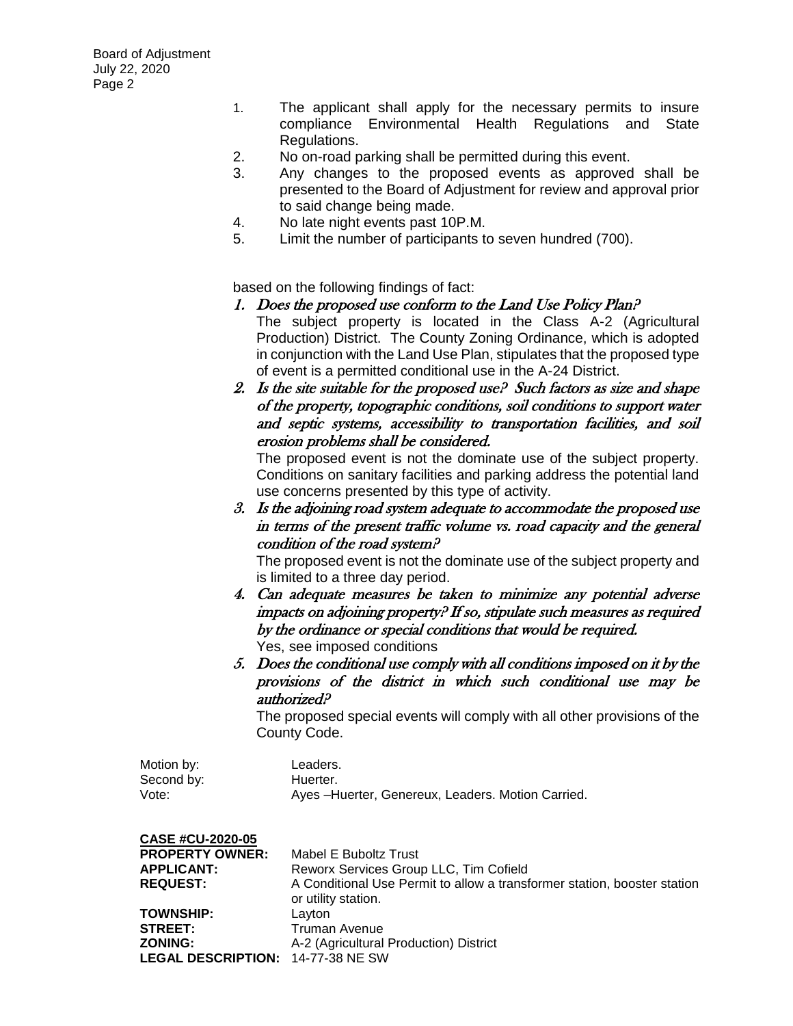- 1. The applicant shall apply for the necessary permits to insure compliance Environmental Health Regulations and State Regulations.
- 2. No on-road parking shall be permitted during this event.
- 3. Any changes to the proposed events as approved shall be presented to the Board of Adjustment for review and approval prior to said change being made.
- 4. No late night events past 10P.M.
- 5. Limit the number of participants to seven hundred (700).

based on the following findings of fact:

- 1. Does the proposed use conform to the Land Use Policy Plan? The subject property is located in the Class A-2 (Agricultural Production) District. The County Zoning Ordinance, which is adopted in conjunction with the Land Use Plan, stipulates that the proposed type of event is a permitted conditional use in the A-24 District.
- 2. Is the site suitable for the proposed use? Such factors as size and shape of the property, topographic conditions, soil conditions to support water and septic systems, accessibility to transportation facilities, and soil erosion problems shall be considered.

The proposed event is not the dominate use of the subject property. Conditions on sanitary facilities and parking address the potential land use concerns presented by this type of activity.

3. Is the adjoining road system adequate to accommodate the proposed use in terms of the present traffic volume vs. road capacity and the general condition of the road system?

The proposed event is not the dominate use of the subject property and is limited to a three day period.

- 4. Can adequate measures be taken to minimize any potential adverse impacts on adjoining property? If so, stipulate such measures as required by the ordinance or special conditions that would be required. Yes, see imposed conditions
- 5. Does the conditional use comply with all conditions imposed on it by the provisions of the district in which such conditional use may be authorized?

The proposed special events will comply with all other provisions of the County Code.

| Motion by: | Leaders.                                           |
|------------|----------------------------------------------------|
| Second by: | Huerter.                                           |
| Vote:      | Ayes - Huerter, Genereux, Leaders. Motion Carried. |

# **CASE #CU-2020-05**

| <b>PROPERTY OWNER:</b>            | Mabel E Buboltz Trust                                                                           |
|-----------------------------------|-------------------------------------------------------------------------------------------------|
| <b>APPLICANT:</b>                 | Reworx Services Group LLC, Tim Cofield                                                          |
| <b>REQUEST:</b>                   | A Conditional Use Permit to allow a transformer station, booster station<br>or utility station. |
| <b>TOWNSHIP:</b>                  | Layton                                                                                          |
| <b>STREET:</b>                    | <b>Truman Avenue</b>                                                                            |
| <b>ZONING:</b>                    | A-2 (Agricultural Production) District                                                          |
| LEGAL DESCRIPTION: 14-77-38 NE SW |                                                                                                 |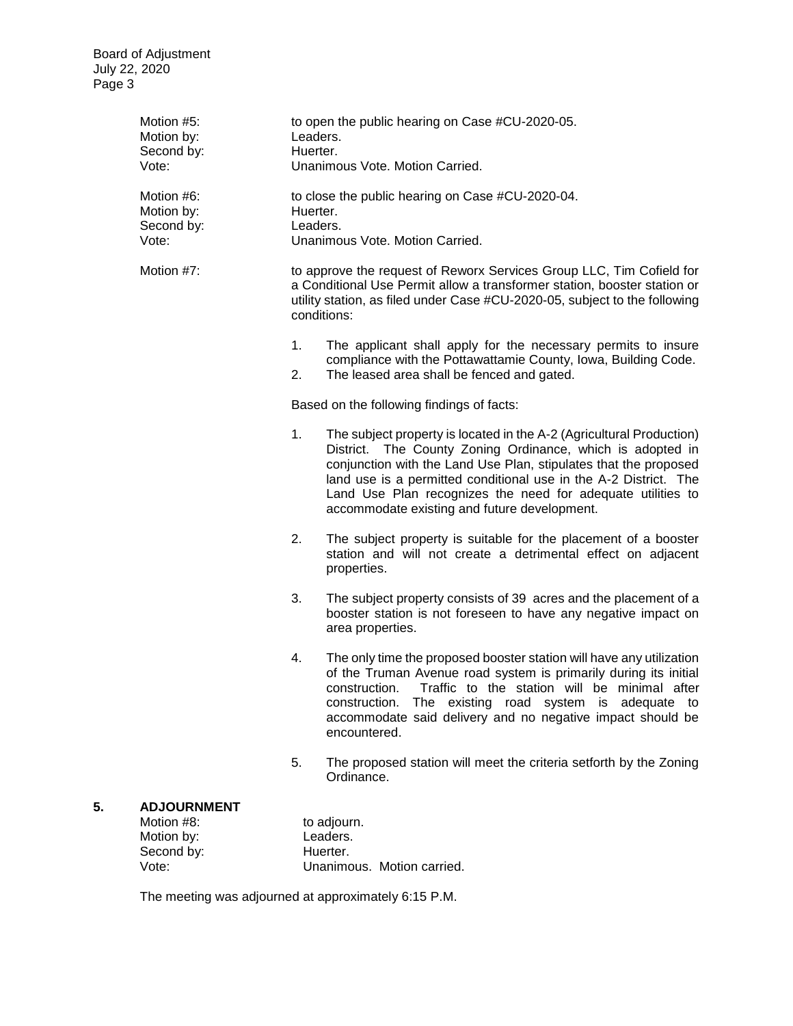Board of Adjustment July 22, 2020 Page 3

| Motion #5:<br>Motion by:<br>Second by:<br>Vote: | to open the public hearing on Case #CU-2020-05.<br>Leaders.<br>Huerter.<br>Unanimous Vote. Motion Carried.                                                                                                                                    |                                                                                                                                                                                                                                                                                                                                                                                           |  |
|-------------------------------------------------|-----------------------------------------------------------------------------------------------------------------------------------------------------------------------------------------------------------------------------------------------|-------------------------------------------------------------------------------------------------------------------------------------------------------------------------------------------------------------------------------------------------------------------------------------------------------------------------------------------------------------------------------------------|--|
| Motion #6:<br>Motion by:<br>Second by:<br>Vote: | to close the public hearing on Case #CU-2020-04.<br>Huerter.<br>Leaders.<br>Unanimous Vote. Motion Carried.                                                                                                                                   |                                                                                                                                                                                                                                                                                                                                                                                           |  |
| Motion #7:                                      | to approve the request of Reworx Services Group LLC, Tim Cofield for<br>a Conditional Use Permit allow a transformer station, booster station or<br>utility station, as filed under Case #CU-2020-05, subject to the following<br>conditions: |                                                                                                                                                                                                                                                                                                                                                                                           |  |
|                                                 | 1.<br>2.                                                                                                                                                                                                                                      | The applicant shall apply for the necessary permits to insure<br>compliance with the Pottawattamie County, Iowa, Building Code.<br>The leased area shall be fenced and gated.                                                                                                                                                                                                             |  |
|                                                 | Based on the following findings of facts:                                                                                                                                                                                                     |                                                                                                                                                                                                                                                                                                                                                                                           |  |
|                                                 | 1.                                                                                                                                                                                                                                            | The subject property is located in the A-2 (Agricultural Production)<br>District. The County Zoning Ordinance, which is adopted in<br>conjunction with the Land Use Plan, stipulates that the proposed<br>land use is a permitted conditional use in the A-2 District. The<br>Land Use Plan recognizes the need for adequate utilities to<br>accommodate existing and future development. |  |
|                                                 | 2.                                                                                                                                                                                                                                            | The subject property is suitable for the placement of a booster<br>station and will not create a detrimental effect on adjacent<br>properties.                                                                                                                                                                                                                                            |  |
|                                                 | 3.                                                                                                                                                                                                                                            | The subject property consists of 39 acres and the placement of a<br>booster station is not foreseen to have any negative impact on<br>area properties.                                                                                                                                                                                                                                    |  |
|                                                 | 4.                                                                                                                                                                                                                                            | The only time the proposed booster station will have any utilization<br>of the Truman Avenue road system is primarily during its initial<br>construction. Traffic to the station will be minimal after<br>construction. The existing road system is adequate to<br>accommodate said delivery and no negative impact should be<br>encountered.                                             |  |
|                                                 | 5.                                                                                                                                                                                                                                            | The proposed station will meet the criteria setforth by the Zoning<br>Ordinance.                                                                                                                                                                                                                                                                                                          |  |
| <b>ADJOURNMENT</b><br>Motion #8:                |                                                                                                                                                                                                                                               | to adjourn.                                                                                                                                                                                                                                                                                                                                                                               |  |

### **5. ADJOURNMENT**

Motion by: Leaders. Second by: Huerter.

Loudoro.<br>Huerter.<br>Unanimous. Motion carried.

The meeting was adjourned at approximately 6:15 P.M.